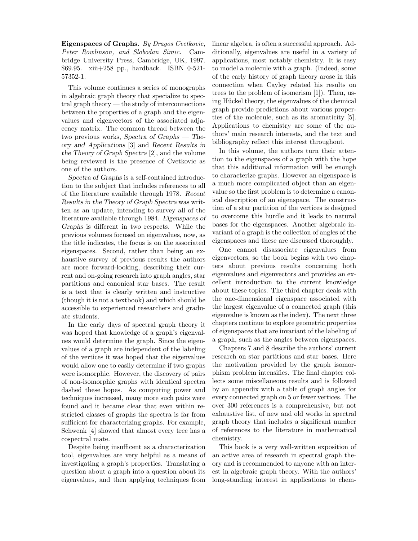Eigenspaces of Graphs. By Dragos Cvetkovic, Peter Rowlinson, and Slobodan Simic. Cambridge University Press, Cambridge, UK, 1997. \$69.95. xiii+258 pp., hardback. ISBN 0-521- 57352-1.

This volume continues a series of monographs in algebraic graph theory that specialize to spectral graph theory — the study of interconnections between the properties of a graph and the eigenvalues and eigenvectors of the associated adjacency matrix. The common thread between the two previous works, Spectra of Graphs — Theory and Applications [3] and Recent Results in the Theory of Graph Spectra [2], and the volume being reviewed is the presence of Cvetkovic as one of the authors.

Spectra of Graphs is a self-contained introduction to the subject that includes references to all of the literature available through 1978. Recent Results in the Theory of Graph Spectra was written as an update, intending to survey all of the literature available through 1984. Eigenspaces of Graphs is different in two respects. While the previous volumes focused on eigenvalues, now, as the title indicates, the focus is on the associated eigenspaces. Second, rather than being an exhaustive survey of previous results the authors are more forward-looking, describing their current and on-going research into graph angles, star partitions and canonical star bases. The result is a text that is clearly written and instructive (though it is not a textbook) and which should be accessible to experienced researchers and graduate students.

In the early days of spectral graph theory it was hoped that knowledge of a graph's eigenvalues would determine the graph. Since the eigenvalues of a graph are independent of the labeling of the vertices it was hoped that the eigenvalues would allow one to easily determine if two graphs were isomorphic. However, the discovery of pairs of non-isomorphic graphs with identical spectra dashed these hopes. As computing power and techniques increased, many more such pairs were found and it became clear that even within restricted classes of graphs the spectra is far from sufficient for characterizing graphs. For example, Schwenk [4] showed that almost every tree has a cospectral mate.

Despite being insufficent as a characterization tool, eigenvalues are very helpful as a means of investigating a graph's properties. Translating a question about a graph into a question about its eigenvalues, and then applying techniques from linear algebra, is often a successful approach. Additionally, eigenvalues are useful in a variety of applications, most notably chemistry. It is easy to model a molecule with a graph. (Indeed, some of the early history of graph theory arose in this connection when Cayley related his results on trees to the problem of isomerism [1]). Then, using Hückel theory, the eigenvalues of the chemical graph provide predictions about various properties of the molecule, such as its aromaticity [5]. Applications to chemistry are some of the authors' main research interests, and the text and bibliography reflect this interest throughout.

In this volume, the authors turn their attention to the eigenspaces of a graph with the hope that this additional information will be enough to characterize graphs. However an eigenspace is a much more complicated object than an eigenvalue so the first problem is to determine a canonical description of an eigenspace. The construction of a star partition of the vertices is designed to overcome this hurdle and it leads to natural bases for the eigenspaces. Another algebraic invariant of a graph is the collection of angles of the eigenspaces and these are discussed thoroughly.

One cannot disassociate eigenvalues from eigenvectors, so the book begins with two chapters about previous results concerning both eigenvalues and eigenvectors and provides an excellent introduction to the current knowledge about these topics. The third chapter deals with the one-dimensional eigenspace associated with the largest eigenvalue of a connected graph (this eigenvalue is known as the index). The next three chapters continue to explore geometric properties of eigenspaces that are invariant of the labeling of a graph, such as the angles between eigenspaces.

Chapters 7 and 8 describe the authors' current research on star partitions and star bases. Here the motivation provided by the graph isomorphism problem intensifies. The final chapter collects some miscellaneous results and is followed by an appendix with a table of graph angles for every connected graph on 5 or fewer vertices. The over 300 references is a comprehensive, but not exhaustive list, of new and old works in spectral graph theory that includes a significant number of references to the literature in mathematical chemistry.

This book is a very well-written exposition of an active area of research in spectral graph theory and is recommended to anyone with an interest in algebraic graph theory. With the authors' long-standing interest in applications to chem